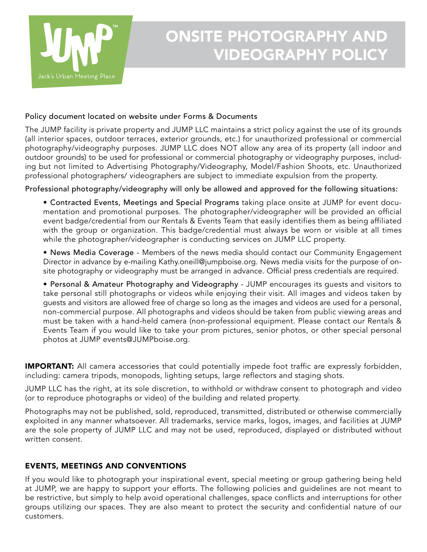

## ONSITE PHOTOGRAPHY AND VIDEOGRAPHY POLICY

## Policy document located on website under Forms & Documents

The JUMP facility is private property and JUMP LLC maintains a strict policy against the use of its grounds (all interior spaces, outdoor terraces, exterior grounds, etc.) for unauthorized professional or commercial photography/videography purposes. JUMP LLC does NOT allow any area of its property (all indoor and outdoor grounds) to be used for professional or commercial photography or videography purposes, including but not limited to Advertising Photography/Videography, Model/Fashion Shoots, etc. Unauthorized professional photographers/ videographers are subject to immediate expulsion from the property.

Professional photography/videography will only be allowed and approved for the following situations:

• Contracted Events, Meetings and Special Programs taking place onsite at JUMP for event documentation and promotional purposes. The photographer/videographer will be provided an official event badge/credential from our Rentals & Events Team that easily identifies them as being affiliated with the group or organization. This badge/credential must always be worn or visible at all times while the photographer/videographer is conducting services on JUMP LLC property.

• News Media Coverage - Members of the news media should contact our Community Engagement Director in advance by e-mailing Kathy.oneill@jumpboise.org. News media visits for the purpose of onsite photography or videography must be arranged in advance. Official press credentials are required.

• Personal & Amateur Photography and Videography - JUMP encourages its guests and visitors to take personal still photographs or videos while enjoying their visit. All images and videos taken by guests and visitors are allowed free of charge so long as the images and videos are used for a personal, non-commercial purpose. All photographs and videos should be taken from public viewing areas and must be taken with a hand-held camera (non-professional equipment. Please contact our Rentals & Events Team if you would like to take your prom pictures, senior photos, or other special personal photos at JUMP events@JUMPboise.org.

**IMPORTANT:** All camera accessories that could potentially impede foot traffic are expressly forbidden, including: camera tripods, monopods, lighting setups, large reflectors and staging shots.

JUMP LLC has the right, at its sole discretion, to withhold or withdraw consent to photograph and video (or to reproduce photographs or video) of the building and related property.

Photographs may not be published, sold, reproduced, transmitted, distributed or otherwise commercially exploited in any manner whatsoever. All trademarks, service marks, logos, images, and facilities at JUMP are the sole property of JUMP LLC and may not be used, reproduced, displayed or distributed without written consent.

## EVENTS, MEETINGS AND CONVENTIONS

If you would like to photograph your inspirational event, special meeting or group gathering being held at JUMP, we are happy to support your efforts. The following policies and guidelines are not meant to be restrictive, but simply to help avoid operational challenges, space conflicts and interruptions for other groups utilizing our spaces. They are also meant to protect the security and confidential nature of our customers.